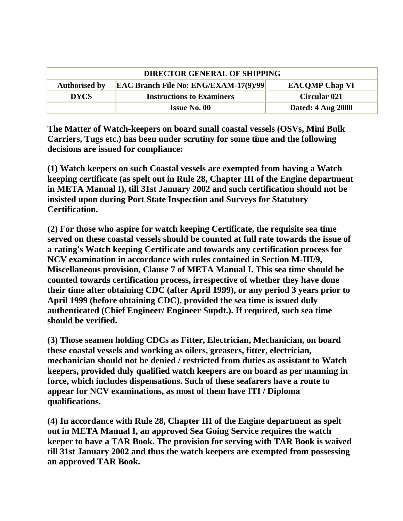| <b>DIRECTOR GENERAL OF SHIPPING</b> |                                              |                          |
|-------------------------------------|----------------------------------------------|--------------------------|
| <b>Authorised by</b>                | <b>EAC Branch File No: ENG/EXAM-17(9)/99</b> | <b>EACOMP Chap VI</b>    |
| <b>DYCS</b>                         | <b>Instructions to Examiners</b>             | <b>Circular 021</b>      |
|                                     | <b>Issue No. 00</b>                          | <b>Dated: 4 Aug 2000</b> |

**The Matter of Watch-keepers on board small coastal vessels (OSVs, Mini Bulk Carriers, Tugs etc.) has been under scrutiny for some time and the following decisions are issued for compliance:**

**(1) Watch keepers on such Coastal vessels are exempted from having a Watch keeping certificate (as spelt out in Rule 28, Chapter III of the Engine department in META Manual I), till 31st January 2002 and such certification should not be insisted upon during Port State Inspection and Surveys for Statutory Certification.**

**(2) For those who aspire for watch keeping Certificate, the requisite sea time served on these coastal vessels should be counted at full rate towards the issue of a rating's Watch keeping Certificate and towards any certification process for NCV examination in accordance with rules contained in Section M-III/9, Miscellaneous provision, Clause 7 of META Manual I. This sea time should be counted towards certification process, irrespective of whether they have done their time after obtaining CDC (after April 1999), or any period 3 years prior to April 1999 (before obtaining CDC), provided the sea time is issued duly authenticated (Chief Engineer/ Engineer Supdt.). If required, such sea time should be verified.**

**(3) Those seamen holding CDCs as Fitter, Electrician, Mechanician, on board these coastal vessels and working as oilers, greasers, fitter, electrician, mechanician should not be denied / restricted from duties as assistant to Watch keepers, provided duly qualified watch keepers are on board as per manning in force, which includes dispensations. Such of these seafarers have a route to appear for NCV examinations, as most of them have ITI / Diploma qualifications.**

**(4) In accordance with Rule 28, Chapter III of the Engine department as spelt out in META Manual I, an approved Sea Going Service requires the watch keeper to have a TAR Book. The provision for serving with TAR Book is waived till 31st January 2002 and thus the watch keepers are exempted from possessing an approved TAR Book.**